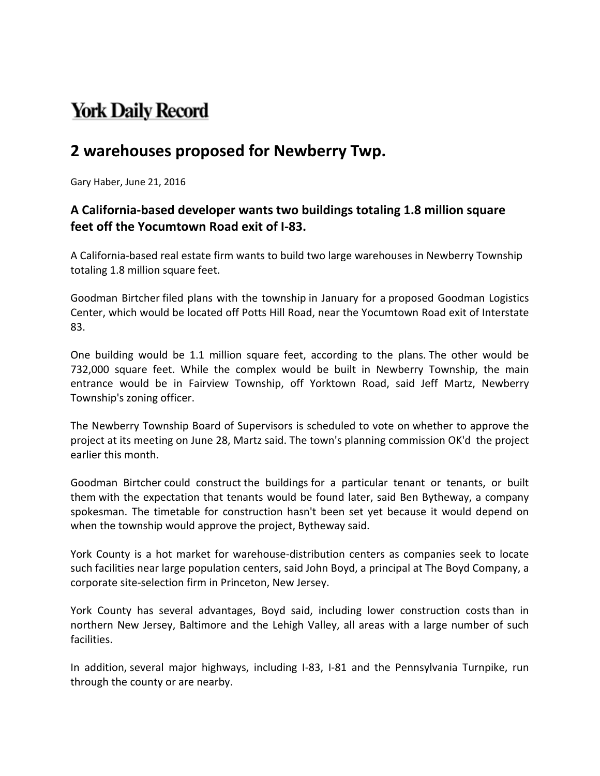## **York Daily Record**

## **2 warehouses proposed for Newberry Twp.**

Gary Haber, June 21, 2016

## **A California‐based developer wants two buildings totaling 1.8 million square feet off the Yocumtown Road exit of I‐83.**

A California‐based real estate firm wants to build two large warehouses in Newberry Township totaling 1.8 million square feet.

Goodman Birtcher filed plans with the township in January for a proposed Goodman Logistics Center, which would be located off Potts Hill Road, near the Yocumtown Road exit of Interstate 83.

One building would be 1.1 million square feet, according to the plans. The other would be 732,000 square feet. While the complex would be built in Newberry Township, the main entrance would be in Fairview Township, off Yorktown Road, said Jeff Martz, Newberry Township's zoning officer.

The Newberry Township Board of Supervisors is scheduled to vote on whether to approve the project at its meeting on June 28, Martz said. The town's planning commission OK'd the project earlier this month.

Goodman Birtcher could construct the buildings for a particular tenant or tenants, or built them with the expectation that tenants would be found later, said Ben Bytheway, a company spokesman. The timetable for construction hasn't been set yet because it would depend on when the township would approve the project, Bytheway said.

York County is a hot market for warehouse‐distribution centers as companies seek to locate such facilities near large population centers, said John Boyd, a principal at The Boyd Company, a corporate site‐selection firm in Princeton, New Jersey.

York County has several advantages, Boyd said, including lower construction costs than in northern New Jersey, Baltimore and the Lehigh Valley, all areas with a large number of such facilities.

In addition, several major highways, including I-83, I-81 and the Pennsylvania Turnpike, run through the county or are nearby.